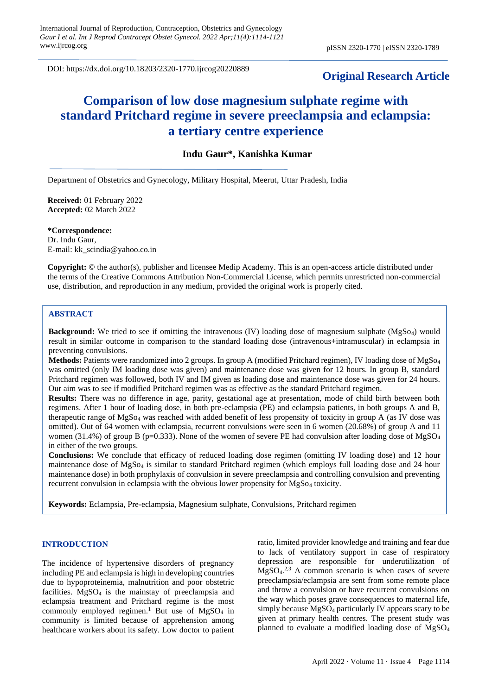DOI: https://dx.doi.org/10.18203/2320-1770.ijrcog20220889

# **Original Research Article**

# **Comparison of low dose magnesium sulphate regime with standard Pritchard regime in severe preeclampsia and eclampsia: a tertiary centre experience**

## **Indu Gaur\*, Kanishka Kumar**

Department of Obstetrics and Gynecology, Military Hospital, Meerut, Uttar Pradesh, India

**Received:** 01 February 2022 **Accepted:** 02 March 2022

**\*Correspondence:** Dr. Indu Gaur, E-mail: kk\_scindia@yahoo.co.in

**Copyright:** © the author(s), publisher and licensee Medip Academy. This is an open-access article distributed under the terms of the Creative Commons Attribution Non-Commercial License, which permits unrestricted non-commercial use, distribution, and reproduction in any medium, provided the original work is properly cited.

#### **ABSTRACT**

**Background:** We tried to see if omitting the intravenous (IV) loading dose of magnesium sulphate (MgSo<sub>4</sub>) would result in similar outcome in comparison to the standard loading dose (intravenous+intramuscular) in eclampsia in preventing convulsions.

**Methods:** Patients were randomized into 2 groups. In group A (modified Pritchard regimen), IV loading dose of MgSo<sup>4</sup> was omitted (only IM loading dose was given) and maintenance dose was given for 12 hours. In group B, standard Pritchard regimen was followed, both IV and IM given as loading dose and maintenance dose was given for 24 hours. Our aim was to see if modified Pritchard regimen was as effective as the standard Pritchard regimen.

**Results:** There was no difference in age, parity, gestational age at presentation, mode of child birth between both regimens. After 1 hour of loading dose, in both pre-eclampsia (PE) and eclampsia patients, in both groups A and B, therapeutic range of MgSo<sup>4</sup> was reached with added benefit of less propensity of toxicity in group A (as IV dose was omitted). Out of 64 women with eclampsia, recurrent convulsions were seen in 6 women (20.68%) of group A and 11 women (31.4%) of group B (p=0.333). None of the women of severe PE had convulsion after loading dose of MgSO<sub>4</sub> in either of the two groups.

**Conclusions:** We conclude that efficacy of reduced loading dose regimen (omitting IV loading dose) and 12 hour maintenance dose of MgSo<sup>4</sup> is similar to standard Pritchard regimen (which employs full loading dose and 24 hour maintenance dose) in both prophylaxis of convulsion in severe preeclampsia and controlling convulsion and preventing recurrent convulsion in eclampsia with the obvious lower propensity for MgSo<sup>4</sup> toxicity.

**Keywords:** Eclampsia, Pre-eclampsia, Magnesium sulphate, Convulsions, Pritchard regimen

#### **INTRODUCTION**

The incidence of hypertensive disorders of pregnancy including PE and eclampsia is high in developing countries due to hypoproteinemia, malnutrition and poor obstetric facilities. MgSO<sup>4</sup> is the mainstay of preeclampsia and eclampsia treatment and Pritchard regime is the most commonly employed regimen.<sup>1</sup> But use of MgSO<sub>4</sub> in community is limited because of apprehension among healthcare workers about its safety. Low doctor to patient ratio, limited provider knowledge and training and fear due to lack of ventilatory support in case of respiratory depression are responsible for underutilization of  $MgSO<sub>4</sub>.<sup>2,3</sup>$  A common scenario is when cases of severe preeclampsia/eclampsia are sent from some remote place and throw a convulsion or have recurrent convulsions on the way which poses grave consequences to maternal life, simply because MgSO<sub>4</sub> particularly IV appears scary to be given at primary health centres. The present study was planned to evaluate a modified loading dose of MgSO<sup>4</sup>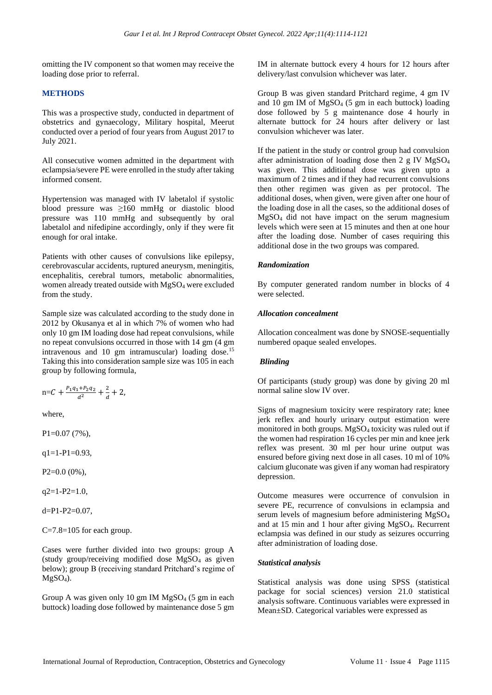omitting the IV component so that women may receive the loading dose prior to referral.

## **METHODS**

This was a prospective study, conducted in department of obstetrics and gynaecology, Military hospital, Meerut conducted over a period of four years from August 2017 to July 2021.

All consecutive women admitted in the department with eclampsia/severe PE were enrolled in the study after taking informed consent.

Hypertension was managed with IV labetalol if systolic blood pressure was ≥160 mmHg or diastolic blood pressure was 110 mmHg and subsequently by oral labetalol and nifedipine accordingly, only if they were fit enough for oral intake.

Patients with other causes of convulsions like epilepsy, cerebrovascular accidents, ruptured aneurysm, meningitis, encephalitis, cerebral tumors, metabolic abnormalities, women already treated outside with MgSO<sup>4</sup> were excluded from the study.

Sample size was calculated according to the study done in 2012 by Okusanya et al in which 7% of women who had only 10 gm IM loading dose had repeat convulsions, while no repeat convulsions occurred in those with 14 gm (4 gm intravenous and 10 gm intramuscular) loading dose.<sup>15</sup> Taking this into consideration sample size was 105 in each group by following formula,

$$
n = C + \frac{P_1 q_1 + P_2 q_2}{d^2} + \frac{2}{d} + 2,
$$

where,

P1=0.07 (7%),

 $q1=1-P1=0.93$ ,

P2=0.0 (0%),

 $q2=1-P2=1.0$ ,

d=P1-P2=0.07,

 $C=7.8=105$  for each group.

Cases were further divided into two groups: group A (study group/receiving modified dose MgSO<sup>4</sup> as given below); group B (receiving standard Pritchard's regime of  $MgSO<sub>4</sub>$ ).

Group A was given only 10 gm IM  $MgSO<sub>4</sub>$  (5 gm in each buttock) loading dose followed by maintenance dose 5 gm

IM in alternate buttock every 4 hours for 12 hours after delivery/last convulsion whichever was later.

Group B was given standard Pritchard regime, 4 gm IV and 10 gm IM of MgSO<sub>4</sub> (5 gm in each buttock) loading dose followed by 5 g maintenance dose 4 hourly in alternate buttock for 24 hours after delivery or last convulsion whichever was later.

If the patient in the study or control group had convulsion after administration of loading dose then  $2 \text{ g }$  IV MgSO<sub>4</sub> was given. This additional dose was given upto a maximum of 2 times and if they had recurrent convulsions then other regimen was given as per protocol. The additional doses, when given, were given after one hour of the loading dose in all the cases, so the additional doses of MgSO<sup>4</sup> did not have impact on the serum magnesium levels which were seen at 15 minutes and then at one hour after the loading dose. Number of cases requiring this additional dose in the two groups was compared.

## *Randomization*

By computer generated random number in blocks of 4 were selected.

## *Allocation concealment*

Allocation concealment was done by SNOSE-sequentially numbered opaque sealed envelopes.

## *Blinding*

Of participants (study group) was done by giving 20 ml normal saline slow IV over.

Signs of magnesium toxicity were respiratory rate; knee jerk reflex and hourly urinary output estimation were monitored in both groups. MgSO<sup>4</sup> toxicity was ruled out if the women had respiration 16 cycles per min and knee jerk reflex was present. 30 ml per hour urine output was ensured before giving next dose in all cases. 10 ml of 10% calcium gluconate was given if any woman had respiratory depression.

Outcome measures were occurrence of convulsion in severe PE, recurrence of convulsions in eclampsia and serum levels of magnesium before administering MgSO<sup>4</sup> and at 15 min and 1 hour after giving MgSO4. Recurrent eclampsia was defined in our study as seizures occurring after administration of loading dose.

## *Statistical analysis*

Statistical analysis was done using SPSS (statistical package for social sciences) version 21.0 statistical analysis software. Continuous variables were expressed in Mean±SD. Categorical variables were expressed as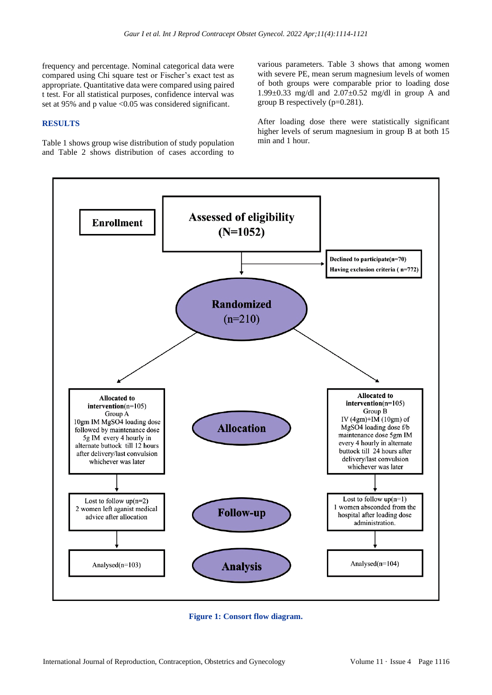frequency and percentage. Nominal categorical data were compared using Chi square test or Fischer's exact test as appropriate. Quantitative data were compared using paired t test. For all statistical purposes, confidence interval was set at 95% and p value <0.05 was considered significant.

#### **RESULTS**

Table 1 shows group wise distribution of study population and Table 2 shows distribution of cases according to various parameters. Table 3 shows that among women with severe PE, mean serum magnesium levels of women of both groups were comparable prior to loading dose 1.99 $\pm$ 0.33 mg/dl and 2.07 $\pm$ 0.52 mg/dl in group A and group B respectively (p=0.281).

After loading dose there were statistically significant higher levels of serum magnesium in group B at both 15 min and 1 hour.



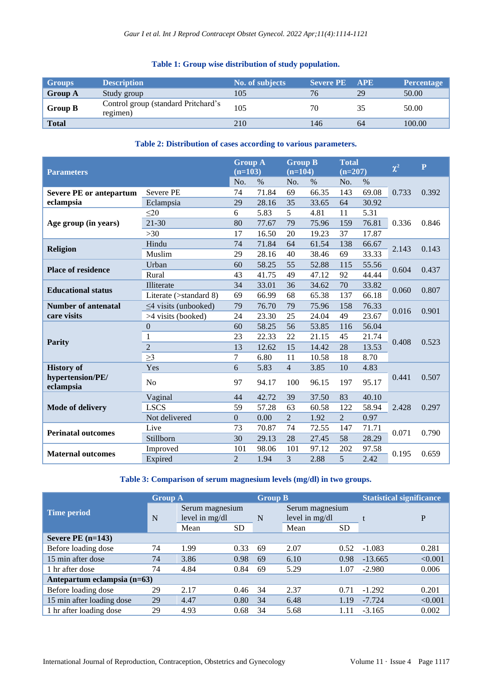## **Table 1: Group wise distribution of study population.**

| <b>Groups</b>  | <b>Description</b>                              | No. of subjects | <b>Severe PE APE</b> |    | <b>Percentage</b> |
|----------------|-------------------------------------------------|-----------------|----------------------|----|-------------------|
| <b>Group A</b> | Study group                                     | 105             |                      | 29 | 50.00             |
| <b>Group B</b> | Control group (standard Pritchard's<br>regimen) | 105             | 70                   | 35 | 50.00             |
| <b>Total</b>   |                                                 | 210             | 146                  | 64 | 100.00            |

## **Table 2: Distribution of cases according to various parameters.**

| <b>Parameters</b>              |                            | <b>Group A</b><br>$(n=103)$ |       | <b>Group B</b><br>$(n=104)$ |       | <b>Total</b><br>$(n=207)$ |       | $\chi^2$ | $\overline{\mathbf{P}}$ |
|--------------------------------|----------------------------|-----------------------------|-------|-----------------------------|-------|---------------------------|-------|----------|-------------------------|
|                                |                            | No.                         | $\%$  | No.                         | $\%$  | No.                       | $\%$  |          |                         |
| <b>Severe PE or antepartum</b> | <b>Severe PE</b>           | 74                          | 71.84 | 69                          | 66.35 | 143                       | 69.08 | 0.733    | 0.392                   |
| eclampsia                      | Eclampsia                  | 29                          | 28.16 | 35                          | 33.65 | 64                        | 30.92 |          |                         |
|                                | $\leq$ 20                  | 6                           | 5.83  | 5                           | 4.81  | 11                        | 5.31  |          | 0.846                   |
| Age group (in years)           | $21 - 30$                  | 80                          | 77.67 | 79                          | 75.96 | 159                       | 76.81 | 0.336    |                         |
|                                | >30                        | 17                          | 16.50 | 20                          | 19.23 | 37                        | 17.87 |          |                         |
|                                | Hindu                      | 74                          | 71.84 | 64                          | 61.54 | 138                       | 66.67 | 2.143    |                         |
| <b>Religion</b>                | Muslim                     | 29                          | 28.16 | 40                          | 38.46 | 69                        | 33.33 |          | 0.143                   |
| <b>Place of residence</b>      | Urban                      | 60                          | 58.25 | 55                          | 52.88 | 115                       | 55.56 |          | 0.437                   |
|                                | Rural                      | 43                          | 41.75 | 49                          | 47.12 | 92                        | 44.44 | 0.604    |                         |
| <b>Educational status</b>      | Illiterate                 | 34                          | 33.01 | 36                          | 34.62 | 70                        | 33.82 | 0.060    | 0.807                   |
|                                | Literate (>standard 8)     | 69                          | 66.99 | 68                          | 65.38 | 137                       | 66.18 |          |                         |
| <b>Number of antenatal</b>     | $\leq$ 4 visits (unbooked) | 79                          | 76.70 | 79                          | 75.96 | 158                       | 76.33 | 0.016    | 0.901                   |
| care visits                    | >4 visits (booked)         | 24                          | 23.30 | 25                          | 24.04 | 49                        | 23.67 |          |                         |
|                                | $\boldsymbol{0}$           | 60                          | 58.25 | 56                          | 53.85 | 116                       | 56.04 |          | 0.523                   |
|                                | $\mathbf{1}$               | 23                          | 22.33 | 22                          | 21.15 | 45                        | 21.74 |          |                         |
| <b>Parity</b>                  | $\overline{2}$             | 13                          | 12.62 | 15                          | 14.42 | 28                        | 13.53 | 0.408    |                         |
|                                | $\geq$ 3                   | 7                           | 6.80  | 11                          | 10.58 | 18                        | 8.70  |          |                         |
| <b>History of</b>              | Yes                        | 6                           | 5.83  | $\overline{4}$              | 3.85  | 10                        | 4.83  |          |                         |
| hypertension/PE/<br>eclampsia  | N <sub>o</sub>             | 97                          | 94.17 | 100                         | 96.15 | 197                       | 95.17 | 0.441    | 0.507                   |
|                                | Vaginal                    | 44                          | 42.72 | 39                          | 37.50 | 83                        | 40.10 |          | 0.297                   |
| <b>Mode of delivery</b>        | <b>LSCS</b>                | 59                          | 57.28 | 63                          | 60.58 | 122                       | 58.94 | 2.428    |                         |
|                                | Not delivered              | $\mathbf{0}$                | 0.00  | $\overline{2}$              | 1.92  | $\overline{2}$            | 0.97  |          |                         |
| <b>Perinatal outcomes</b>      | Live                       | 73                          | 70.87 | 74                          | 72.55 | 147                       | 71.71 | 0.071    |                         |
|                                | Stillborn                  | 30                          | 29.13 | 28                          | 27.45 | 58                        | 28.29 |          | 0.790                   |
|                                | Improved                   | 101                         | 98.06 | 101                         | 97.12 | 202                       | 97.58 | 0.195    |                         |
| <b>Maternal outcomes</b>       | Expired                    | $\overline{2}$              | 1.94  | 3                           | 2.88  | 5                         | 2.42  |          | 0.659                   |

## **Table 3: Comparison of serum magnesium levels (mg/dl) in two groups.**

|                               | <b>Group A</b> |                                     |           | <b>Group B</b> |                                     |           | <b>Statistical significance</b> |         |  |
|-------------------------------|----------------|-------------------------------------|-----------|----------------|-------------------------------------|-----------|---------------------------------|---------|--|
| <b>Time period</b>            | N              | Serum magnesium<br>level in $mg/dl$ |           | N              | Serum magnesium<br>level in $mg/dl$ |           |                                 | P       |  |
|                               |                | Mean                                | <b>SD</b> |                | Mean                                | <b>SD</b> |                                 |         |  |
| Severe PE $(n=143)$           |                |                                     |           |                |                                     |           |                                 |         |  |
| Before loading dose           | 74             | 1.99                                | 0.33      | 69             | 2.07                                | 0.52      | $-1.083$                        | 0.281   |  |
| 15 min after dose             | 74             | 3.86                                | 0.98      | 69             | 6.10                                | 0.98      | $-13.665$                       | < 0.001 |  |
| 1 hr after dose               | 74             | 4.84                                | 0.84      | 69             | 5.29                                | 1.07      | $-2.980$                        | 0.006   |  |
| Antepartum eclampsia $(n=63)$ |                |                                     |           |                |                                     |           |                                 |         |  |
| Before loading dose           | 29             | 2.17                                | 0.46      | 34             | 2.37                                | 0.71      | $-1.292$                        | 0.201   |  |
| 15 min after loading dose     | 29             | 4.47                                | 0.80      | 34             | 6.48                                | 1.19      | $-7.724$                        | < 0.001 |  |
| 1 hr after loading dose       | 29             | 4.93                                | 0.68      | 34             | 5.68                                | 1.11      | $-3.165$                        | 0.002   |  |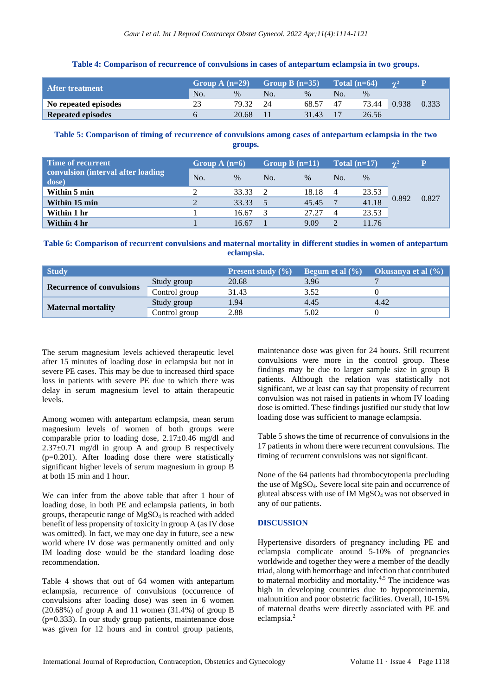#### **Table 4: Comparison of recurrence of convulsions in cases of antepartum eclampsia in two groups.**

| After treatment \        | Group A $(n=29)$ |               | Group B $(n=35)$ |       | Total $(n=64)$ |       | $\gamma^2$ |       |
|--------------------------|------------------|---------------|------------------|-------|----------------|-------|------------|-------|
|                          | No.              | $\frac{0}{0}$ | No.              | $\%$  | No.            | $\%$  |            |       |
| No repeated episodes     | 23               | 79.32         | 24               | 68.57 | 47             | 73.44 | 0.938      | 0.333 |
| <b>Repeated episodes</b> |                  | 20.68         |                  | 31.43 |                | 26.56 |            |       |

## **Table 5: Comparison of timing of recurrence of convulsions among cases of antepartum eclampsia in the two groups.**

| <b>Time of recurrent</b>                    | Group A $(n=6)$ |       | Group B $(n=11)$ |       | Total $(n=17)$ |       | $\gamma^2$ | P     |
|---------------------------------------------|-----------------|-------|------------------|-------|----------------|-------|------------|-------|
| convulsion (interval after loading<br>dose) | No.             | $\%$  | No.              | $\%$  | No.            | $\%$  |            |       |
| Within 5 min                                |                 | 33.33 |                  | 18.18 | -4             | 23.53 |            |       |
| Within 15 min                               |                 | 33.33 |                  | 45.45 | $\mathbf{7}$   | 41.18 | 0.892      | 0.827 |
| Within 1 hr                                 |                 | 16.67 |                  | 27.27 | $\overline{4}$ | 23.53 |            |       |
| Within 4 hr                                 |                 | 16.67 |                  | 9.09  | 2              | 11.76 |            |       |

## **Table 6: Comparison of recurrent convulsions and maternal mortality in different studies in women of antepartum eclampsia.**

| <b>Study</b>                     |               | <b>Present study</b> $(\% )$ | Begum et al $(\% )$ | Okusanya et al (%) <sub> </sub> |
|----------------------------------|---------------|------------------------------|---------------------|---------------------------------|
|                                  | Study group   | 20.68                        | 3.96                |                                 |
| <b>Recurrence of convulsions</b> | Control group | 31.43                        | 3.52                |                                 |
|                                  | Study group   | 1.94                         | 4.45                | 4.42                            |
| <b>Maternal mortality</b>        | Control group | 2.88                         | 5.02                |                                 |

The serum magnesium levels achieved therapeutic level after 15 minutes of loading dose in eclampsia but not in severe PE cases. This may be due to increased third space loss in patients with severe PE due to which there was delay in serum magnesium level to attain therapeutic levels.

Among women with antepartum eclampsia, mean serum magnesium levels of women of both groups were comparable prior to loading dose,  $2.17\pm0.46$  mg/dl and  $2.37\pm0.71$  mg/dl in group A and group B respectively (p=0.201). After loading dose there were statistically significant higher levels of serum magnesium in group B at both 15 min and 1 hour.

We can infer from the above table that after 1 hour of loading dose, in both PE and eclampsia patients, in both groups, therapeutic range of MgSO<sup>4</sup> is reached with added benefit of less propensity of toxicity in group A (as IV dose was omitted). In fact, we may one day in future, see a new world where IV dose was permanently omitted and only IM loading dose would be the standard loading dose recommendation.

Table 4 shows that out of 64 women with antepartum eclampsia, recurrence of convulsions (occurrence of convulsions after loading dose) was seen in 6 women  $(20.68\%)$  of group A and 11 women  $(31.4\%)$  of group B  $(p=0.333)$ . In our study group patients, maintenance dose was given for 12 hours and in control group patients,

maintenance dose was given for 24 hours. Still recurrent convulsions were more in the control group. These findings may be due to larger sample size in group B patients. Although the relation was statistically not significant, we at least can say that propensity of recurrent convulsion was not raised in patients in whom IV loading dose is omitted. These findings justified our study that low loading dose was sufficient to manage eclampsia.

Table 5 shows the time of recurrence of convulsions in the 17 patients in whom there were recurrent convulsions. The timing of recurrent convulsions was not significant.

None of the 64 patients had thrombocytopenia precluding the use of MgSO4. Severe local site pain and occurrence of gluteal abscess with use of IM  $MgSO<sub>4</sub>$  was not observed in any of our patients.

## **DISCUSSION**

Hypertensive disorders of pregnancy including PE and eclampsia complicate around 5-10% of pregnancies worldwide and together they were a member of the deadly triad, along with hemorrhage and infection that contributed to maternal morbidity and mortality.<sup>4,5</sup> The incidence was high in developing countries due to hypoproteinemia, malnutrition and poor obstetric facilities. Overall, 10-15% of maternal deaths were directly associated with PE and eclampsia. 2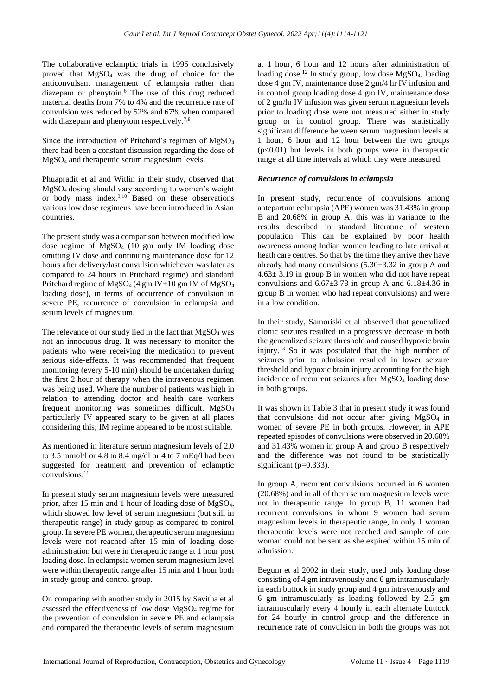The collaborative eclamptic trials in 1995 conclusively proved that MgSO<sup>4</sup> was the drug of choice for the anticonvulsant management of eclampsia rather than diazepam or phenytoin.<sup>6</sup> The use of this drug reduced maternal deaths from 7% to 4% and the recurrence rate of convulsion was reduced by 52% and 67% when compared with diazepam and phenytoin respectively.<sup>7,8</sup>

Since the introduction of Pritchard's regimen of MgSO<sup>4</sup> there had been a constant discussion regarding the dose of MgSO<sup>4</sup> and therapeutic serum magnesium levels.

Phuapradit et al and Witlin in their study, observed that MgSO4 dosing should vary according to women's weight or body mass index.9,10 Based on these observations various low dose regimens have been introduced in Asian countries.

The present study was a comparison between modified low dose regime of MgSO<sup>4</sup> (10 gm only IM loading dose omitting IV dose and continuing maintenance dose for 12 hours after delivery/last convulsion whichever was later as compared to 24 hours in Pritchard regime) and standard Pritchard regime of MgSO<sup>4</sup> (4 gm IV+10 gm IM of MgSO<sup>4</sup> loading dose), in terms of occurrence of convulsion in severe PE, recurrence of convulsion in eclampsia and serum levels of magnesium.

The relevance of our study lied in the fact that  $MgSO_4$  was not an innocuous drug. It was necessary to monitor the patients who were receiving the medication to prevent serious side-effects. It was recommended that frequent monitoring (every 5-10 min) should be undertaken during the first 2 hour of therapy when the intravenous regimen was being used. Where the number of patients was high in relation to attending doctor and health care workers frequent monitoring was sometimes difficult. MgSO<sup>4</sup> particularly IV appeared scary to be given at all places considering this; IM regime appeared to be most suitable.

As mentioned in literature serum magnesium levels of 2.0 to 3.5 mmol/l or 4.8 to 8.4 mg/dl or 4 to 7 mEq/l had been suggested for treatment and prevention of eclamptic convulsions.<sup>11</sup>

In present study serum magnesium levels were measured prior, after 15 min and 1 hour of loading dose of MgSO4, which showed low level of serum magnesium (but still in therapeutic range) in study group as compared to control group. In severe PE women, therapeutic serum magnesium levels were not reached after 15 min of loading dose administration but were in therapeutic range at 1 hour post loading dose. In eclampsia women serum magnesium level were within therapeutic range after 15 min and 1 hour both in study group and control group.

On comparing with another study in 2015 by Savitha et al assessed the effectiveness of low dose MgSO<sup>4</sup> regime for the prevention of convulsion in severe PE and eclampsia and compared the therapeutic levels of serum magnesium at 1 hour, 6 hour and 12 hours after administration of loading dose.<sup>12</sup> In study group, low dose MgSO<sub>4</sub>, loading dose 4 gm IV, maintenance dose 2 gm/4 hr IV infusion and in control group loading dose 4 gm IV, maintenance dose of 2 gm/hr IV infusion was given serum magnesium levels prior to loading dose were not measured either in study group or in control group. There was statistically significant difference between serum magnesium levels at 1 hour, 6 hour and 12 hour between the two groups  $(p<0.01)$  but levels in both groups were in the rapeutic range at all time intervals at which they were measured.

#### *Recurrence of convulsions in eclampsia*

In present study, recurrence of convulsions among antepartum eclampsia (APE) women was 31.43% in group B and 20.68% in group A; this was in variance to the results described in standard literature of western population. This can be explained by poor health awareness among Indian women leading to late arrival at heath care centres. So that by the time they arrive they have already had many convulsions (5.30±3.32 in group A and  $4.63 \pm 3.19$  in group B in women who did not have repeat convulsions and  $6.67\pm3.78$  in group A and  $6.18\pm4.36$  in group B in women who had repeat convulsions) and were in a low condition.

In their study, Samoriski et al observed that generalized clonic seizures resulted in a progressive decrease in both the generalized seizure threshold and caused hypoxic brain injury.<sup>13</sup> So it was postulated that the high number of seizures prior to admission resulted in lower seizure threshold and hypoxic brain injury accounting for the high incidence of recurrent seizures after MgSO<sup>4</sup> loading dose in both groups.

It was shown in Table 3 that in present study it was found that convulsions did not occur after giving  $MgSO<sub>4</sub>$  in women of severe PE in both groups. However, in APE repeated episodes of convulsions were observed in 20.68% and 31.43% women in group A and group B respectively and the difference was not found to be statistically significant ( $p=0.333$ ).

In group A, recurrent convulsions occurred in 6 women (20.68%) and in all of them serum magnesium levels were not in therapeutic range. In group B, 11 women had recurrent convulsions in whom 9 women had serum magnesium levels in therapeutic range, in only 1 woman therapeutic levels were not reached and sample of one woman could not be sent as she expired within 15 min of admission.

Begum et al 2002 in their study, used only loading dose consisting of 4 gm intravenously and 6 gm intramuscularly in each buttock in study group and 4 gm intravenously and 6 gm intramuscularly as loading followed by 2.5 gm intramuscularly every 4 hourly in each alternate buttock for 24 hourly in control group and the difference in recurrence rate of convulsion in both the groups was not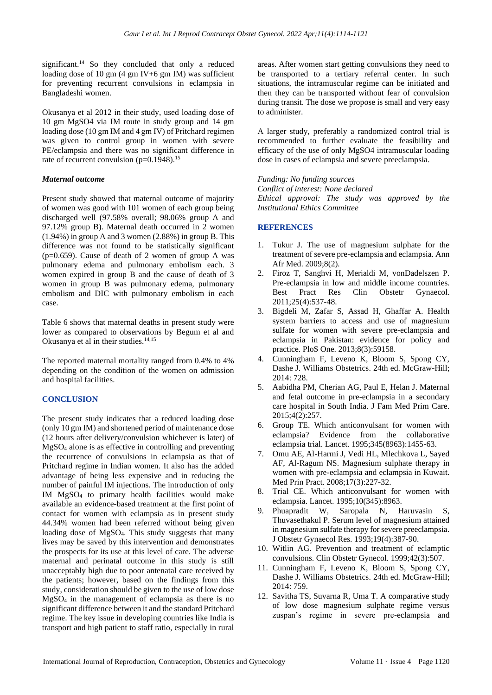significant.<sup>14</sup> So they concluded that only a reduced loading dose of 10 gm  $(4 \text{ gm IV}+6 \text{ gm IM})$  was sufficient for preventing recurrent convulsions in eclampsia in Bangladeshi women.

Okusanya et al 2012 in their study, used loading dose of 10 gm MgSO4 via IM route in study group and 14 gm loading dose (10 gm IM and 4 gm IV) of Pritchard regimen was given to control group in women with severe PE/eclampsia and there was no significant difference in rate of recurrent convulsion  $(p=0.1948)^{15}$ 

## *Maternal outcome*

Present study showed that maternal outcome of majority of women was good with 101 women of each group being discharged well (97.58% overall; 98.06% group A and 97.12% group B). Maternal death occurred in 2 women (1.94%) in group A and 3 women (2.88%) in group B. This difference was not found to be statistically significant  $(p=0.659)$ . Cause of death of 2 women of group A was pulmonary edema and pulmonary embolism each. 3 women expired in group B and the cause of death of 3 women in group B was pulmonary edema, pulmonary embolism and DIC with pulmonary embolism in each case.

Table 6 shows that maternal deaths in present study were lower as compared to observations by Begum et al and Okusanya et al in their studies.14,15

The reported maternal mortality ranged from 0.4% to 4% depending on the condition of the women on admission and hospital facilities.

## **CONCLUSION**

The present study indicates that a reduced loading dose (only 10 gm IM) and shortened period of maintenance dose (12 hours after delivery/convulsion whichever is later) of MgSO<sup>4</sup> alone is as effective in controlling and preventing the recurrence of convulsions in eclampsia as that of Pritchard regime in Indian women. It also has the added advantage of being less expensive and in reducing the number of painful IM injections. The introduction of only IM MgSO<sup>4</sup> to primary health facilities would make available an evidence-based treatment at the first point of contact for women with eclampsia as in present study 44.34% women had been referred without being given loading dose of MgSO4. This study suggests that many lives may be saved by this intervention and demonstrates the prospects for its use at this level of care. The adverse maternal and perinatal outcome in this study is still unacceptably high due to poor antenatal care received by the patients; however, based on the findings from this study, consideration should be given to the use of low dose MgSO<sup>4</sup> in the management of eclampsia as there is no significant difference between it and the standard Pritchard regime. The key issue in developing countries like India is transport and high patient to staff ratio, especially in rural areas. After women start getting convulsions they need to be transported to a tertiary referral center. In such situations, the intramuscular regime can be initiated and then they can be transported without fear of convulsion during transit. The dose we propose is small and very easy to administer.

A larger study, preferably a randomized control trial is recommended to further evaluate the feasibility and efficacy of the use of only MgSO4 intramuscular loading dose in cases of eclampsia and severe preeclampsia.

*Funding: No funding sources Conflict of interest: None declared Ethical approval: The study was approved by the Institutional Ethics Committee*

## **REFERENCES**

- 1. Tukur J. The use of magnesium sulphate for the treatment of severe pre-eclampsia and eclampsia. Ann Afr Med. 2009;8(2).
- 2. Firoz T, Sanghvi H, Merialdi M, vonDadelszen P. Pre-eclampsia in low and middle income countries. Best Pract Res Clin Obstetr Gynaecol. 2011;25(4):537-48.
- 3. Bigdeli M, Zafar S, Assad H, Ghaffar A. Health system barriers to access and use of magnesium sulfate for women with severe pre-eclampsia and eclampsia in Pakistan: evidence for policy and practice. PloS One. 2013;8(3):59158.
- 4. Cunningham F, Leveno K, Bloom S, Spong CY, Dashe J. Williams Obstetrics. 24th ed. McGraw-Hill; 2014: 728.
- 5. Aabidha PM, Cherian AG, Paul E, Helan J. Maternal and fetal outcome in pre-eclampsia in a secondary care hospital in South India. J Fam Med Prim Care. 2015;4(2):257.
- 6. Group TE. Which anticonvulsant for women with eclampsia? Evidence from the collaborative eclampsia trial. Lancet. 1995;345(8963):1455-63.
- 7. Omu AE, Al-Harmi J, Vedi HL, Mlechkova L, Sayed AF, Al-Ragum NS. Magnesium sulphate therapy in women with pre-eclampsia and eclampsia in Kuwait. Med Prin Pract. 2008;17(3):227-32.
- 8. Trial CE. Which anticonvulsant for women with eclampsia. Lancet. 1995;10(345):8963.
- 9. Phuapradit W, Saropala N, Haruvasin S, Thuvasethakul P. Serum level of magnesium attained in magnesium sulfate therapy for severe preeclampsia. J Obstetr Gynaecol Res. 1993;19(4):387-90.
- 10. Witlin AG. Prevention and treatment of eclamptic convulsions. Clin Obstetr Gynecol. 1999;42(3):507.
- 11. Cunningham F, Leveno K, Bloom S, Spong CY, Dashe J. Williams Obstetrics. 24th ed. McGraw-Hill; 2014: 759.
- 12. Savitha TS, Suvarna R, Uma T. A comparative study of low dose magnesium sulphate regime versus zuspan's regime in severe pre-eclampsia and